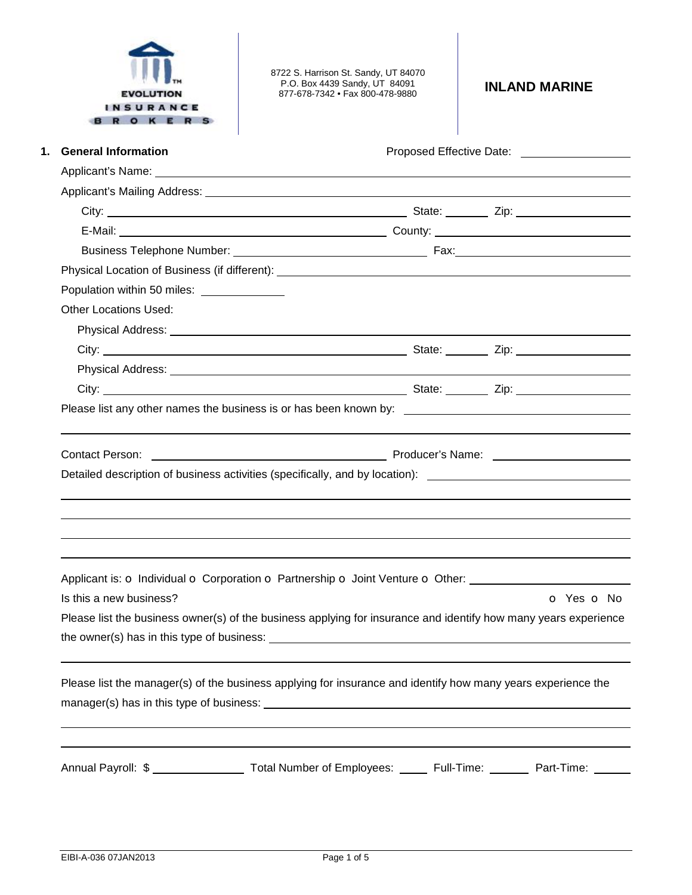

8722 S. Harrison St. Sandy, UT 84070 P.O. Box 4439 Sandy, UT 84091 877-678-7342 • Fax 800-478-9880 **INLAND MARINE** 

| <b>General Information</b>                                                                                                                                                                                                    |            |
|-------------------------------------------------------------------------------------------------------------------------------------------------------------------------------------------------------------------------------|------------|
|                                                                                                                                                                                                                               |            |
|                                                                                                                                                                                                                               |            |
|                                                                                                                                                                                                                               |            |
|                                                                                                                                                                                                                               |            |
|                                                                                                                                                                                                                               |            |
|                                                                                                                                                                                                                               |            |
| Population within 50 miles: ______________                                                                                                                                                                                    |            |
| <b>Other Locations Used:</b>                                                                                                                                                                                                  |            |
| Physical Address: Note of the Contract of the Contract of the Contract of the Contract of the Contract of the Contract of the Contract of the Contract of the Contract of the Contract of the Contract of the Contract of the |            |
|                                                                                                                                                                                                                               |            |
|                                                                                                                                                                                                                               |            |
|                                                                                                                                                                                                                               |            |
| Please list any other names the business is or has been known by: __________________________________                                                                                                                          |            |
|                                                                                                                                                                                                                               |            |
|                                                                                                                                                                                                                               |            |
| Contact Person:<br>Detailed description of business activities (specifically, and by location): _________________________________                                                                                             |            |
|                                                                                                                                                                                                                               |            |
| Applicant is: O Individual O Corporation O Partnership O Joint Venture O Other:                                                                                                                                               |            |
| Is this a new business?                                                                                                                                                                                                       | O Yes O No |
| Please list the business owner(s) of the business applying for insurance and identify how many years experience                                                                                                               |            |
| the owner(s) has in this type of business:                                                                                                                                                                                    |            |
|                                                                                                                                                                                                                               |            |
|                                                                                                                                                                                                                               |            |
| Please list the manager(s) of the business applying for insurance and identify how many years experience the                                                                                                                  |            |
|                                                                                                                                                                                                                               |            |
|                                                                                                                                                                                                                               |            |
| Annual Payroll: \$ ________________ Total Number of Employees: ______ Full-Time: _______ Part-Time: ______                                                                                                                    |            |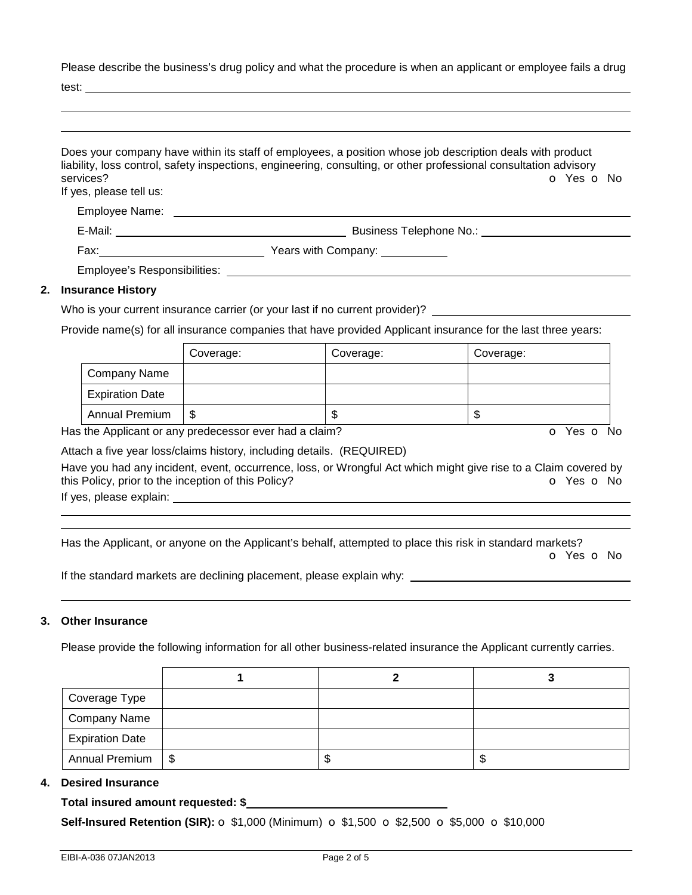Please describe the business's drug policy and what the procedure is when an applicant or employee fails a drug

test:

|                                      | Does your company have within its staff of employees, a position whose job description deals with product<br>liability, loss control, safety inspections, engineering, consulting, or other professional consultation advisory |
|--------------------------------------|--------------------------------------------------------------------------------------------------------------------------------------------------------------------------------------------------------------------------------|
| services?<br>If yes, please tell us: | O Yes O No                                                                                                                                                                                                                     |
|                                      | Employee Name: Lawrence and the contract of the contract of the contract of the contract of the contract of the contract of the contract of the contract of the contract of the contract of the contract of the contract of th |
|                                      |                                                                                                                                                                                                                                |
|                                      |                                                                                                                                                                                                                                |
|                                      |                                                                                                                                                                                                                                |
| 2. Insurance History                 |                                                                                                                                                                                                                                |
|                                      | Who is your current insurance carrier (or your last if no current provider)? ________                                                                                                                                          |

Provide name(s) for all insurance companies that have provided Applicant insurance for the last three years:

|                        | Coverage: | Coverage: | Coverage: |
|------------------------|-----------|-----------|-----------|
| Company Name           |           |           |           |
| <b>Expiration Date</b> |           |           |           |
| <b>Annual Premium</b>  | S         | ۰D        | Φ         |

Has the Applicant or any predecessor ever had a claim? The Contract of Monocomusic Contract of No. The Contract O

Attach a five year loss/claims history, including details. (REQUIRED)

Have you had any incident, event, occurrence, loss, or Wrongful Act which might give rise to a Claim covered by this Policy, prior to the inception of this Policy? **o** Yes **o** No

If yes, please explain:

 

Has the Applicant, or anyone on the Applicant's behalf, attempted to place this risk in standard markets?

o Yes o No

If the standard markets are declining placement, please explain why:

### **3. Other Insurance**

Please provide the following information for all other business-related insurance the Applicant currently carries.

| Coverage Type          |  |     |
|------------------------|--|-----|
| Company Name           |  |     |
| <b>Expiration Date</b> |  |     |
| Annual Premium   \$    |  | ۰D. |

## **4. Desired Insurance**

### **Total insured amount requested: \$**

**Self-Insured Retention (SIR):** o \$1,000 (Minimum) o \$1,500 o \$2,500 o \$5,000 o \$10,000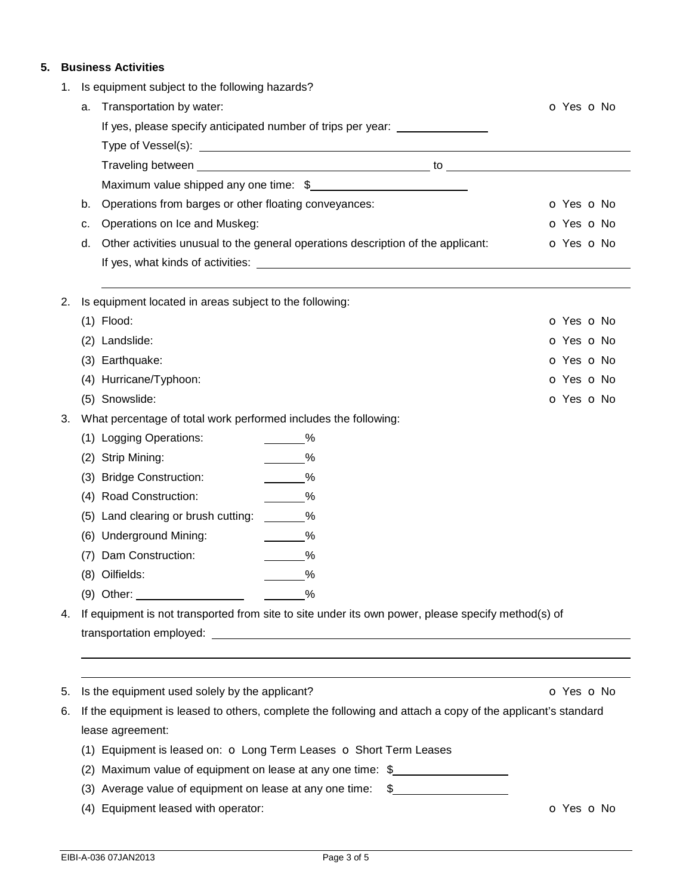# **5. Business Activities**

| 1. |     | Is equipment subject to the following hazards?                                                             |                          |
|----|-----|------------------------------------------------------------------------------------------------------------|--------------------------|
|    | a.  | Transportation by water:                                                                                   | O Yes O No               |
|    |     | If yes, please specify anticipated number of trips per year: __________________                            |                          |
|    |     |                                                                                                            |                          |
|    |     |                                                                                                            |                          |
|    |     | Maximum value shipped any one time: \$                                                                     |                          |
|    | b.  | Operations from barges or other floating conveyances:                                                      | o Yes o No               |
|    | c.  | Operations on Ice and Muskeg:                                                                              | o Yes o No               |
|    | d.  | Other activities unusual to the general operations description of the applicant:                           | O Yes O No               |
|    |     |                                                                                                            |                          |
| 2. |     | Is equipment located in areas subject to the following:                                                    |                          |
|    |     | $(1)$ Flood:                                                                                               | O Yes O No               |
|    | (2) | Landslide:                                                                                                 | <b>O</b> Yes <b>O</b> No |
|    |     | (3) Earthquake:                                                                                            | o Yes o No               |
|    |     | (4) Hurricane/Typhoon:                                                                                     | O Yes O No               |
|    |     | (5) Snowslide:                                                                                             | o Yes o No               |
| 3. |     | What percentage of total work performed includes the following:                                            |                          |
|    |     | (1) Logging Operations:<br>$\frac{9}{6}$                                                                   |                          |
|    | (2) | $\frac{9}{6}$<br>Strip Mining:                                                                             |                          |
|    | (3) | <b>Bridge Construction:</b><br>$\frac{9}{6}$                                                               |                          |
|    | (4) | <b>Road Construction:</b><br>$\frac{9}{6}$                                                                 |                          |
|    | (5) | Land clearing or brush cutting:<br>$\frac{9}{6}$                                                           |                          |
|    | (6) | <b>Underground Mining:</b><br>$\overline{\phantom{1}}^{\%}$                                                |                          |
|    | (7) | Dam Construction:<br>$\frac{9}{6}$                                                                         |                          |
|    |     | (8) Oilfields:<br>$\%$                                                                                     |                          |
|    |     | (9) Other: $\overline{\phantom{a}}$                                                                        |                          |
| 4. |     | If equipment is not transported from site to site under its own power, please specify method(s) of         |                          |
|    |     |                                                                                                            |                          |
|    |     |                                                                                                            |                          |
| 5. |     | Is the equipment used solely by the applicant?                                                             | O Yes O No               |
| 6. |     | If the equipment is leased to others, complete the following and attach a copy of the applicant's standard |                          |
|    |     | lease agreement:                                                                                           |                          |
|    |     | (1) Equipment is leased on: O Long Term Leases O Short Term Leases                                         |                          |
|    | (2) | Maximum value of equipment on lease at any one time: \$                                                    |                          |
|    |     | (3) Average value of equipment on lease at any one time:<br>\$                                             |                          |
|    | (4) | Equipment leased with operator:                                                                            | O Yes O No               |
|    |     |                                                                                                            |                          |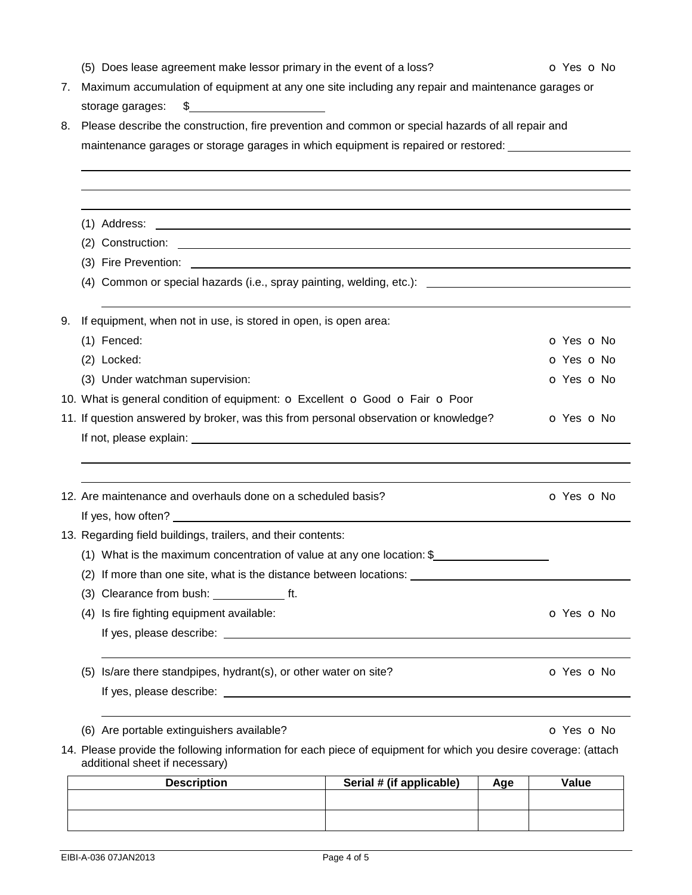|    | (5) Does lease agreement make lessor primary in the event of a loss?                                                                         | O Yes O No |  |  |  |  |
|----|----------------------------------------------------------------------------------------------------------------------------------------------|------------|--|--|--|--|
| 7. | Maximum accumulation of equipment at any one site including any repair and maintenance garages or                                            |            |  |  |  |  |
|    | $\frac{1}{2}$<br>storage garages:                                                                                                            |            |  |  |  |  |
| 8. | Please describe the construction, fire prevention and common or special hazards of all repair and                                            |            |  |  |  |  |
|    | maintenance garages or storage garages in which equipment is repaired or restored: ________________                                          |            |  |  |  |  |
|    |                                                                                                                                              |            |  |  |  |  |
|    |                                                                                                                                              |            |  |  |  |  |
|    |                                                                                                                                              |            |  |  |  |  |
|    | (1) Address:<br><u> 1989 - John Harry Harry Harry Harry Harry Harry Harry Harry Harry Harry Harry Harry Harry Harry Harry Harry H</u>        |            |  |  |  |  |
|    |                                                                                                                                              |            |  |  |  |  |
|    | (3) Fire Prevention:<br><u> 1989 - Johann John Stein, markin fan it ferstjer fan de ferstjer fan it ferstjer fan it ferstjer fan it fers</u> |            |  |  |  |  |
|    | (4) Common or special hazards (i.e., spray painting, welding, etc.): [199] Common or special hazards (i.e., spray painting, welding, etc.):  |            |  |  |  |  |
| 9. | If equipment, when not in use, is stored in open, is open area:                                                                              |            |  |  |  |  |
|    | $(1)$ Fenced:                                                                                                                                | O Yes O No |  |  |  |  |
|    | (2) Locked:                                                                                                                                  | O Yes O No |  |  |  |  |
|    | (3) Under watchman supervision:                                                                                                              | o Yes o No |  |  |  |  |
|    | 10. What is general condition of equipment: o Excellent o Good o Fair o Poor                                                                 |            |  |  |  |  |
|    | 11. If question answered by broker, was this from personal observation or knowledge?                                                         | O Yes O No |  |  |  |  |
|    |                                                                                                                                              |            |  |  |  |  |
|    |                                                                                                                                              |            |  |  |  |  |
|    |                                                                                                                                              |            |  |  |  |  |
|    | 12. Are maintenance and overhauls done on a scheduled basis?                                                                                 | O Yes O No |  |  |  |  |
|    |                                                                                                                                              |            |  |  |  |  |
|    | 13. Regarding field buildings, trailers, and their contents:                                                                                 |            |  |  |  |  |
|    | (1) What is the maximum concentration of value at any one location: $$$                                                                      |            |  |  |  |  |
|    | (2) If more than one site, what is the distance between locations:                                                                           |            |  |  |  |  |
|    |                                                                                                                                              |            |  |  |  |  |
|    | (4) Is fire fighting equipment available:                                                                                                    | o Yes o No |  |  |  |  |
|    |                                                                                                                                              |            |  |  |  |  |
|    |                                                                                                                                              |            |  |  |  |  |
|    | (5) Is/are there standpipes, hydrant(s), or other water on site?                                                                             | O Yes O No |  |  |  |  |
|    |                                                                                                                                              |            |  |  |  |  |
|    | (6) Are portable extinguishers available?                                                                                                    | O Yes O No |  |  |  |  |
|    | 14. Please provide the following information for each piece of equipment for which you desire coverage: (attach                              |            |  |  |  |  |
|    | additional sheet if necessary)                                                                                                               |            |  |  |  |  |

| <b>Description</b> | Serial # (if applicable) | Age | Value |
|--------------------|--------------------------|-----|-------|
|                    |                          |     |       |
|                    |                          |     |       |
|                    |                          |     |       |